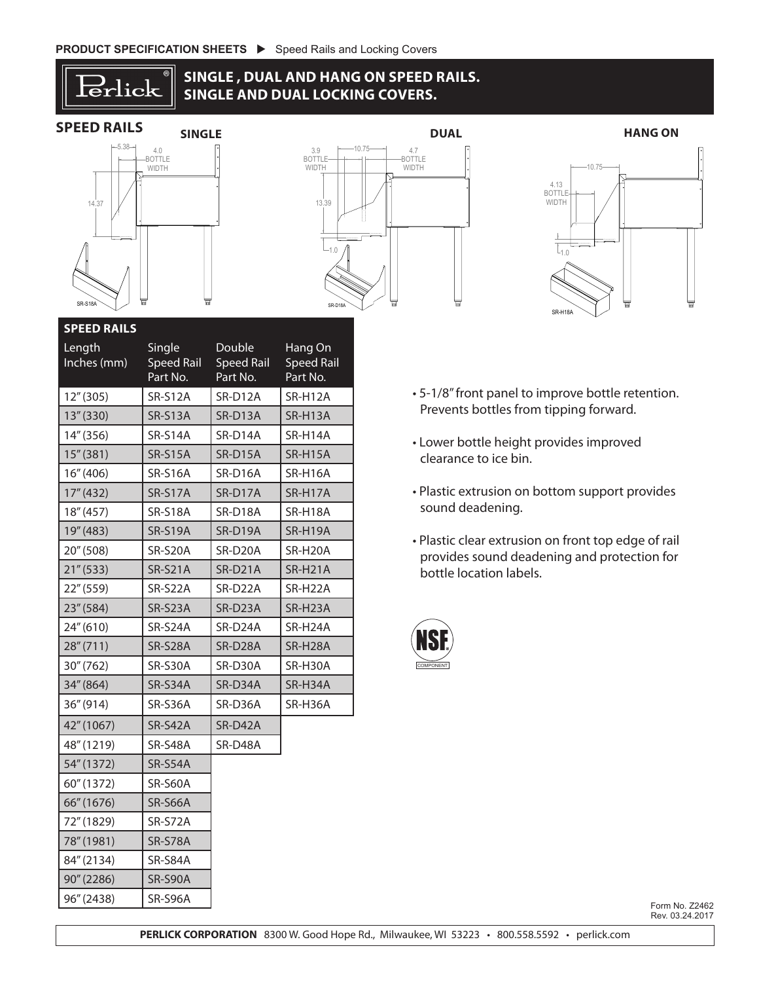14.37



DUAL LOCKING

## **SINGLE , DUAL AND HANG ON SPEED RAILS.** 1.0 SINGLE AND DUAL LOCKING COVERS. C AL LOCKING COVEF







1.0

ACCESSORY STANDARD LOCKING COVER

| <b>SPEED RAILS</b>    |                                         |                                         |                                          |                                                                      |
|-----------------------|-----------------------------------------|-----------------------------------------|------------------------------------------|----------------------------------------------------------------------|
| Length<br>Inches (mm) | Single<br><b>Speed Rail</b><br>Part No. | Double<br><b>Speed Rail</b><br>Part No. | Hang On<br><b>Speed Rail</b><br>Part No. |                                                                      |
| 12''(305)             | <b>SR-S12A</b>                          | SR-D12A                                 | SR-H12A                                  | • 5-1/8" front panel to improve be                                   |
| 13''(330)             | <b>SR-S13A</b>                          | SR-D13A                                 | SR-H13A                                  | Prevents bottles from tipping fo                                     |
| 14" (356)             | <b>SR-S14A</b>                          | SR-D14A                                 | SR-H14A                                  | • Lower bottle height provides in                                    |
| 15''(381)             | <b>SR-S15A</b>                          | SR-D15A                                 | SR-H15A                                  | clearance to ice bin.                                                |
| 16''(406)             | <b>SR-S16A</b>                          | SR-D16A                                 | SR-H16A                                  |                                                                      |
| 17''(432)             | SR-S17A                                 | SR-D17A                                 | SR-H17A                                  | • Plastic extrusion on bottom sup                                    |
| 18''(457)             | <b>SR-S18A</b>                          | SR-D18A                                 | SR-H18A                                  | sound deadening.                                                     |
| 19" (483)             | <b>SR-S19A</b>                          | SR-D19A                                 | SR-H19A                                  |                                                                      |
| 20" (508)             | SR-S20A                                 | SR-D20A                                 | SR-H20A                                  | • Plastic clear extrusion on front t<br>provides sound deadening and |
| 21''(533)             | SR-S21A                                 | SR-D21A                                 | SR-H21A                                  | bottle location labels.                                              |
| 22" (559)             | SR-S22A                                 | SR-D22A                                 | SR-H22A                                  |                                                                      |
| 23" (584)             | SR-S23A                                 | SR-D23A                                 | SR-H23A                                  |                                                                      |
| 24''(610)             | SR-S24A                                 | SR-D24A                                 | SR-H24A                                  |                                                                      |
| 28''(711)             | SR-S28A                                 | SR-D28A                                 | SR-H28A                                  | <b>NSI</b>                                                           |
| 30''(762)             | <b>SR-S30A</b>                          | SR-D30A                                 | SR-H30A                                  | <b>COMPONENT</b>                                                     |
| 34" (864)             | SR-S34A                                 | SR-D34A                                 | SR-H34A                                  |                                                                      |
| 36''(914)             | SR-S36A                                 | SR-D36A                                 | SR-H36A                                  |                                                                      |
| 42" (1067)            | <b>SR-S42A</b>                          | SR-D42A                                 |                                          |                                                                      |
| 48" (1219)            | SR-S48A                                 | SR-D48A                                 |                                          |                                                                      |
| 54" (1372)            | SR-S54A                                 |                                         |                                          |                                                                      |
| 60" (1372)            | <b>SR-S60A</b>                          |                                         |                                          |                                                                      |
| 66" (1676)            | <b>SR-S66A</b>                          |                                         |                                          |                                                                      |
| 72" (1829)            | SR-S72A                                 |                                         |                                          |                                                                      |
| 78" (1981)            | SR-S78A                                 |                                         |                                          |                                                                      |
| 84" (2134)            | SR-S84A                                 |                                         |                                          |                                                                      |
| 90" (2286)            | <b>SR-S90A</b>                          |                                         |                                          |                                                                      |
| 96" (2438)            | SR-S96A                                 |                                         |                                          |                                                                      |

- Prevents bottles from tipping forward. • 5-1/8" front panel to improve bottle retention.
- SR-D14A SR-H14A · Lower bottle height provides improved • Lower bottle height provides improved clearance to ice bin.
	- Plastic extrusion on bottom support provides sound deadening.
	- SRLC-18 • Plastic clear extrusion on front top edge of rail bottle location labels. provides sound deadening and protection for



Form No. Z2462 Rev. 03.24.2017